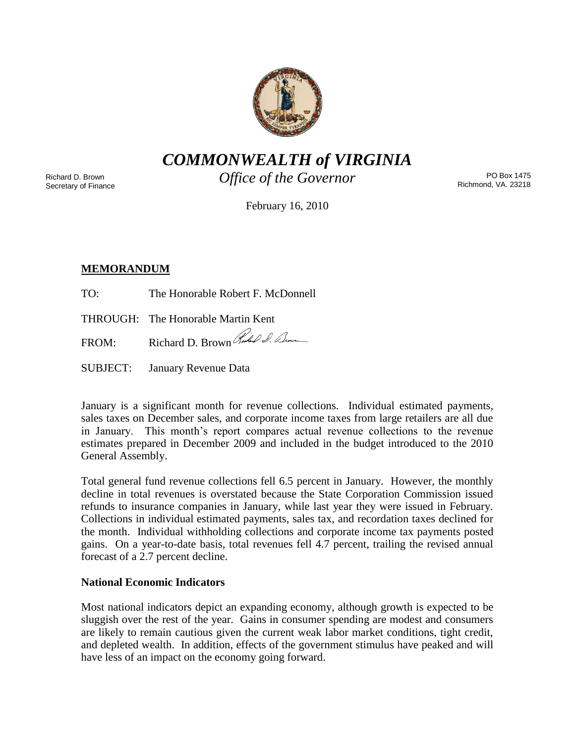

*COMMONWEALTH of VIRGINIA*

Richard D. Brown Secretary of Finance *Office of the Governor*

PO Box 1475 Richmond, VA. 23218

February 16, 2010

# **MEMORANDUM**

TO: The Honorable Robert F. McDonnell

THROUGH: The Honorable Martin Kent

FROM: Richard D. Brown Rules 2. Dum

SUBJECT: January Revenue Data

January is a significant month for revenue collections. Individual estimated payments, sales taxes on December sales, and corporate income taxes from large retailers are all due in January. This month's report compares actual revenue collections to the revenue estimates prepared in December 2009 and included in the budget introduced to the 2010 General Assembly.

Total general fund revenue collections fell 6.5 percent in January. However, the monthly decline in total revenues is overstated because the State Corporation Commission issued refunds to insurance companies in January, while last year they were issued in February. Collections in individual estimated payments, sales tax, and recordation taxes declined for the month. Individual withholding collections and corporate income tax payments posted gains. On a year-to-date basis, total revenues fell 4.7 percent, trailing the revised annual forecast of a 2.7 percent decline.

## **National Economic Indicators**

Most national indicators depict an expanding economy, although growth is expected to be sluggish over the rest of the year. Gains in consumer spending are modest and consumers are likely to remain cautious given the current weak labor market conditions, tight credit, and depleted wealth. In addition, effects of the government stimulus have peaked and will have less of an impact on the economy going forward.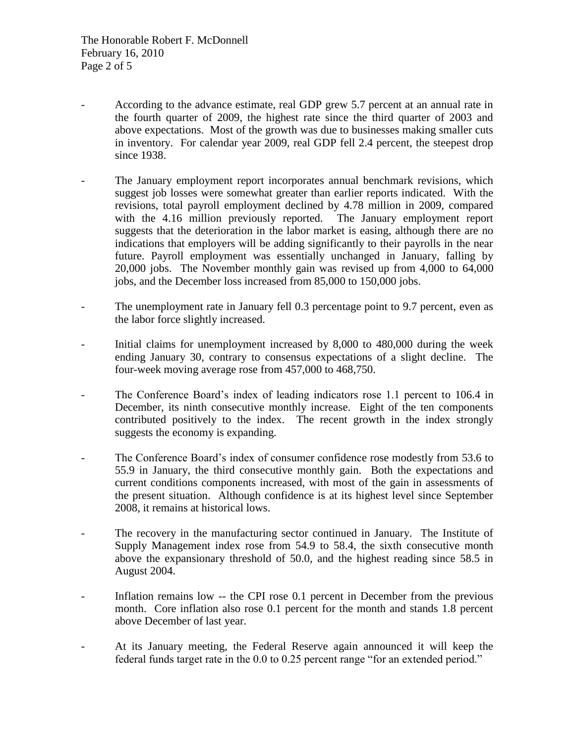- According to the advance estimate, real GDP grew 5.7 percent at an annual rate in the fourth quarter of 2009, the highest rate since the third quarter of 2003 and above expectations. Most of the growth was due to businesses making smaller cuts in inventory. For calendar year 2009, real GDP fell 2.4 percent, the steepest drop since 1938.
- The January employment report incorporates annual benchmark revisions, which suggest job losses were somewhat greater than earlier reports indicated. With the revisions, total payroll employment declined by 4.78 million in 2009, compared with the 4.16 million previously reported. The January employment report suggests that the deterioration in the labor market is easing, although there are no indications that employers will be adding significantly to their payrolls in the near future. Payroll employment was essentially unchanged in January, falling by 20,000 jobs. The November monthly gain was revised up from 4,000 to 64,000 jobs, and the December loss increased from 85,000 to 150,000 jobs.
- The unemployment rate in January fell 0.3 percentage point to 9.7 percent, even as the labor force slightly increased.
- Initial claims for unemployment increased by 8,000 to 480,000 during the week ending January 30, contrary to consensus expectations of a slight decline. The four-week moving average rose from 457,000 to 468,750.
- The Conference Board's index of leading indicators rose 1.1 percent to 106.4 in December, its ninth consecutive monthly increase. Eight of the ten components contributed positively to the index. The recent growth in the index strongly suggests the economy is expanding.
- The Conference Board's index of consumer confidence rose modestly from 53.6 to 55.9 in January, the third consecutive monthly gain. Both the expectations and current conditions components increased, with most of the gain in assessments of the present situation. Although confidence is at its highest level since September 2008, it remains at historical lows.
- The recovery in the manufacturing sector continued in January. The Institute of Supply Management index rose from 54.9 to 58.4, the sixth consecutive month above the expansionary threshold of 50.0, and the highest reading since 58.5 in August 2004.
- Inflation remains low -- the CPI rose 0.1 percent in December from the previous month. Core inflation also rose 0.1 percent for the month and stands 1.8 percent above December of last year.
- At its January meeting, the Federal Reserve again announced it will keep the federal funds target rate in the 0.0 to 0.25 percent range "for an extended period."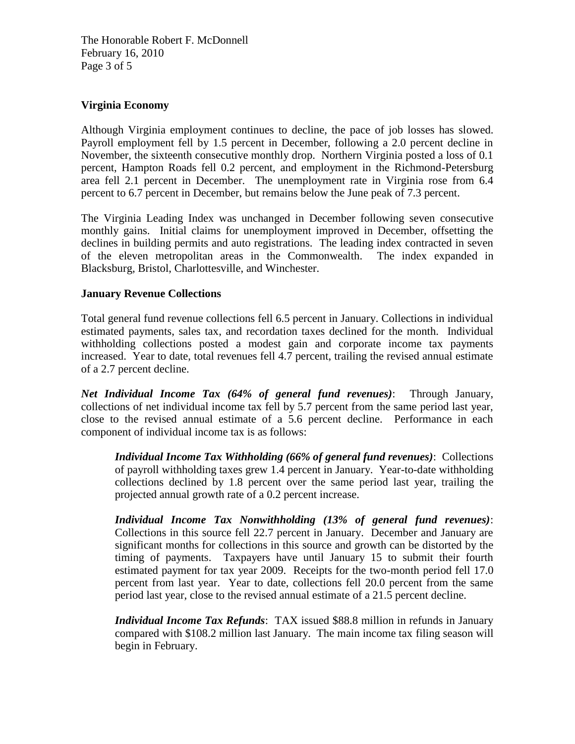The Honorable Robert F. McDonnell February 16, 2010 Page 3 of 5

## **Virginia Economy**

Although Virginia employment continues to decline, the pace of job losses has slowed. Payroll employment fell by 1.5 percent in December, following a 2.0 percent decline in November, the sixteenth consecutive monthly drop. Northern Virginia posted a loss of 0.1 percent, Hampton Roads fell 0.2 percent, and employment in the Richmond-Petersburg area fell 2.1 percent in December. The unemployment rate in Virginia rose from 6.4 percent to 6.7 percent in December, but remains below the June peak of 7.3 percent.

The Virginia Leading Index was unchanged in December following seven consecutive monthly gains. Initial claims for unemployment improved in December, offsetting the declines in building permits and auto registrations. The leading index contracted in seven of the eleven metropolitan areas in the Commonwealth. The index expanded in Blacksburg, Bristol, Charlottesville, and Winchester.

## **January Revenue Collections**

Total general fund revenue collections fell 6.5 percent in January. Collections in individual estimated payments, sales tax, and recordation taxes declined for the month. Individual withholding collections posted a modest gain and corporate income tax payments increased. Year to date, total revenues fell 4.7 percent, trailing the revised annual estimate of a 2.7 percent decline.

*Net Individual Income Tax (64% of general fund revenues)*: Through January, collections of net individual income tax fell by 5.7 percent from the same period last year, close to the revised annual estimate of a 5.6 percent decline. Performance in each component of individual income tax is as follows:

*Individual Income Tax Withholding (66% of general fund revenues)*: Collections of payroll withholding taxes grew 1.4 percent in January. Year-to-date withholding collections declined by 1.8 percent over the same period last year, trailing the projected annual growth rate of a 0.2 percent increase.

*Individual Income Tax Nonwithholding (13% of general fund revenues)*: Collections in this source fell 22.7 percent in January. December and January are significant months for collections in this source and growth can be distorted by the timing of payments. Taxpayers have until January 15 to submit their fourth estimated payment for tax year 2009. Receipts for the two-month period fell 17.0 percent from last year. Year to date, collections fell 20.0 percent from the same period last year, close to the revised annual estimate of a 21.5 percent decline.

*Individual Income Tax Refunds*: TAX issued \$88.8 million in refunds in January compared with \$108.2 million last January. The main income tax filing season will begin in February.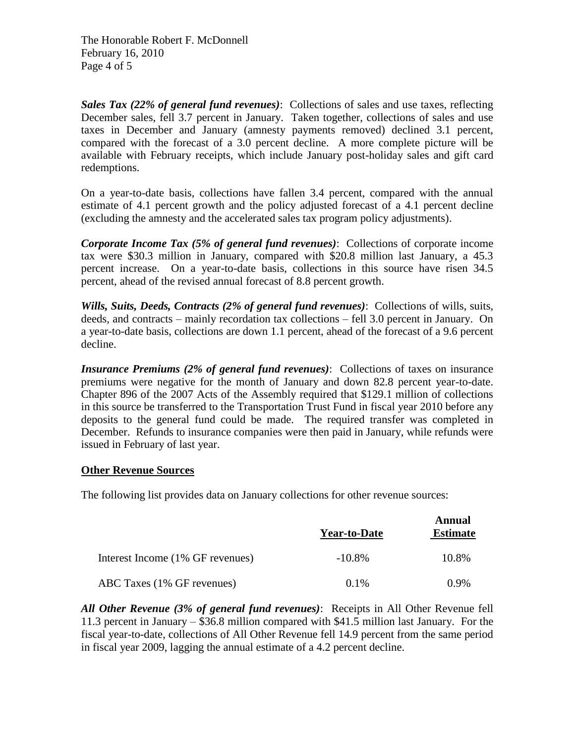The Honorable Robert F. McDonnell February 16, 2010 Page 4 of 5

*Sales Tax (22% of general fund revenues)*: Collections of sales and use taxes, reflecting December sales, fell 3.7 percent in January. Taken together, collections of sales and use taxes in December and January (amnesty payments removed) declined 3.1 percent, compared with the forecast of a 3.0 percent decline. A more complete picture will be available with February receipts, which include January post-holiday sales and gift card redemptions.

On a year-to-date basis, collections have fallen 3.4 percent, compared with the annual estimate of 4.1 percent growth and the policy adjusted forecast of a 4.1 percent decline (excluding the amnesty and the accelerated sales tax program policy adjustments).

*Corporate Income Tax (5% of general fund revenues)*: Collections of corporate income tax were \$30.3 million in January, compared with \$20.8 million last January, a 45.3 percent increase. On a year-to-date basis, collections in this source have risen 34.5 percent, ahead of the revised annual forecast of 8.8 percent growth.

*Wills, Suits, Deeds, Contracts (2% of general fund revenues)*: Collections of wills, suits, deeds, and contracts – mainly recordation tax collections – fell 3.0 percent in January. On a year-to-date basis, collections are down 1.1 percent, ahead of the forecast of a 9.6 percent decline.

*Insurance Premiums (2% of general fund revenues): Collections of taxes on insurance* premiums were negative for the month of January and down 82.8 percent year-to-date. Chapter 896 of the 2007 Acts of the Assembly required that \$129.1 million of collections in this source be transferred to the Transportation Trust Fund in fiscal year 2010 before any deposits to the general fund could be made. The required transfer was completed in December. Refunds to insurance companies were then paid in January, while refunds were issued in February of last year.

## **Other Revenue Sources**

The following list provides data on January collections for other revenue sources:

|                                  | <b>Year-to-Date</b> | Annual<br><b>Estimate</b> |
|----------------------------------|---------------------|---------------------------|
| Interest Income (1% GF revenues) | $-10.8\%$           | 10.8%                     |
| ABC Taxes (1% GF revenues)       | $0.1\%$             | 0.9%                      |

*All Other Revenue (3% of general fund revenues)*: Receipts in All Other Revenue fell 11.3 percent in January – \$36.8 million compared with \$41.5 million last January. For the fiscal year-to-date, collections of All Other Revenue fell 14.9 percent from the same period in fiscal year 2009, lagging the annual estimate of a 4.2 percent decline.